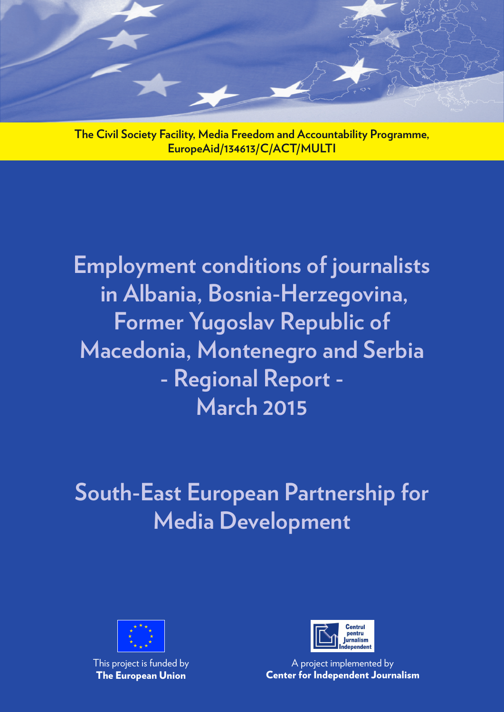

**The Civil Society Facility, Media Freedom and Accountability Programme, EuropeAid/134613/C/ACT/MULTI**

**Employment conditions of journalists in Albania, Bosnia-Herzegovina, Former Yugoslav Republic of Macedonia, Montenegro and Serbia - Regional Report - March 2015**

**South-East European Partnership for Media Development**



This project is funded by The European Union



A project implemented by Center for Independent Journalism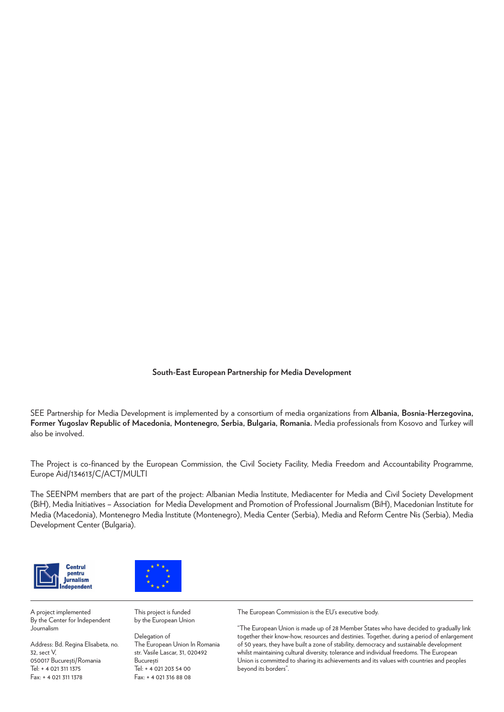**South-East European Partnership for Media Development**

SEE Partnership for Media Development is implemented by a consortium of media organizations from **Albania, Bosnia-Herzegovina, Former Yugoslav Republic of Macedonia, Montenegro, Serbia, Bulgaria, Romania.** Media professionals from Kosovo and Turkey will also be involved.

The Project is co-financed by the European Commission, the Civil Society Facility, Media Freedom and Accountability Programme, Europe Aid/134613/C/ACT/MULTI

The SEENPM members that are part of the project: Albanian Media Institute, Mediacenter for Media and Civil Society Development (BiH), Media Initiatives – Association for Media Development and Promotion of Professional Journalism (BiH), Macedonian Institute for Media (Macedonia), Montenegro Media Institute (Montenegro), Media Center (Serbia), Media and Reform Centre Nis (Serbia), Media Development Center (Bulgaria).





A project implemented By the Center for Independent Journalism

Address: Bd. Regina Elisabeta, no. 32, sect V, 050017 București/Romania Tel: � 4 021 311 1375 Fax: � 4 021 311 1378

This project is funded by the European Union

Delegation of The European Union In Romania str. Vasile Lascar, 31, 020492 București Tel: � 4 021 203 54 00 Fax: � 4 021 316 88 08

The European Commission is the EU's executive body.

"The European Union is made up of 28 Member States who have decided to gradually link together their know-how, resources and destinies. Together, during a period of enlargement of 50 years, they have built a zone of stability, democracy and sustainable development whilst maintaining cultural diversity, tolerance and individual freedoms. The European Union is committed to sharing its achievements and its values with countries and peoples beyond its borders".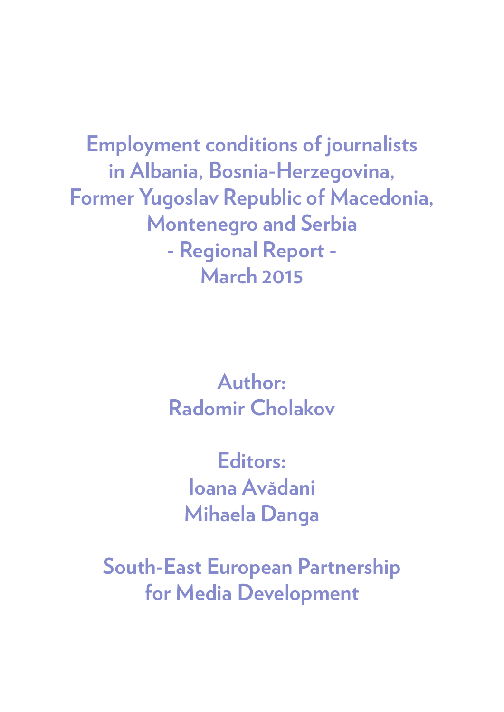**Employment conditions of journalists in Albania, Bosnia-Herzegovina, Former Yugoslav Republic of Macedonia, Montenegro and Serbia - Regional Report - March 2015**

> **Author: Radomir Cholakov**

**Editors: Ioana Avădani Mihaela Danga**

**South-East European Partnership for Media Development**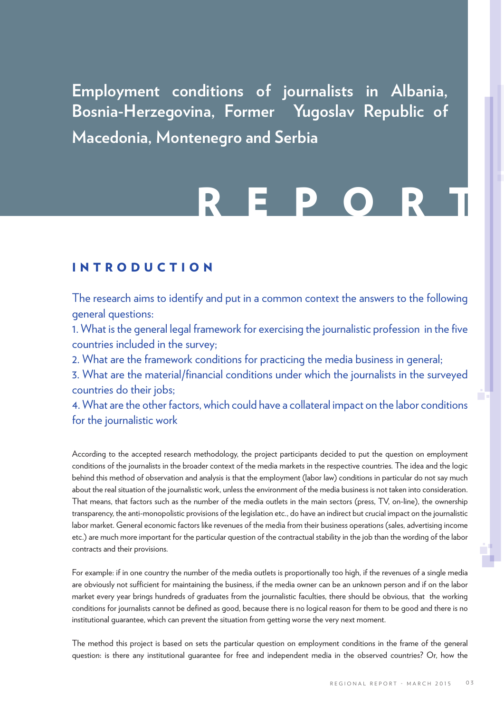**Employment conditions of journalists in Albania, Bosnia-Herzegovina, Former Yugoslav Republic of Macedonia, Montenegro and Serbia**

# R E P O R T

## INTRODUCTION

The research aims to identify and put in a common context the answers to the following general questions:

1. What is the general legal framework for exercising the journalistic profession in the five countries included in the survey;

2. What are the framework conditions for practicing the media business in general;

3. What are the material/financial conditions under which the journalists in the surveyed countries do their jobs;

4. What are the other factors, which could have a collateral impact on the labor conditions for the journalistic work

According to the accepted research methodology, the project participants decided to put the question on employment conditions of the journalists in the broader context of the media markets in the respective countries. The idea and the logic behind this method of observation and analysis is that the employment (labor law) conditions in particular do not say much about the real situation of the journalistic work, unless the environment of the media business is not taken into consideration. That means, that factors such as the number of the media outlets in the main sectors (press, TV, on-line), the ownership transparency, the anti-monopolistic provisions of the legislation etc., do have an indirect but crucial impact on the journalistic labor market. General economic factors like revenues of the media from their business operations (sales, advertising income etc.) are much more important for the particular question of the contractual stability in the job than the wording of the labor contracts and their provisions.

For example: if in one country the number of the media outlets is proportionally too high, if the revenues of a single media are obviously not sufficient for maintaining the business, if the media owner can be an unknown person and if on the labor market every year brings hundreds of graduates from the journalistic faculties, there should be obvious, that the working conditions for journalists cannot be defined as good, because there is no logical reason for them to be good and there is no institutional guarantee, which can prevent the situation from getting worse the very next moment.

The method this project is based on sets the particular question on employment conditions in the frame of the general question: is there any institutional guarantee for free and independent media in the observed countries? Or, how the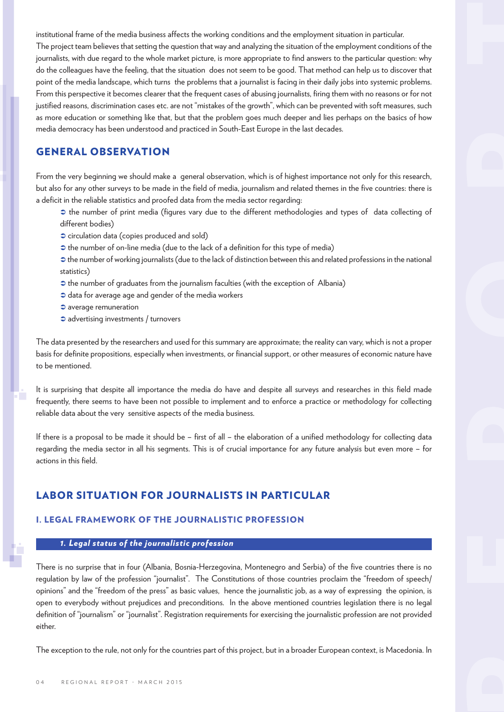institutional frame of the media business affects the working conditions and the employment situation in particular. The project team believes that setting the question that way and analyzing the situation of the employment conditions of the journalists, with due regard to the whole market picture, is more appropriate to find answers to the particular question: why do the colleagues have the feeling, that the situation does not seem to be good. That method can help us to discover that point of the media landscape, which turns the problems that a journalist is facing in their daily jobs into systemic problems. From this perspective it becomes clearer that the frequent cases of abusing journalists, firing them with no reasons or for not justified reasons, discrimination cases etc. are not "mistakes of the growth", which can be prevented with soft measures, such as more education or something like that, but that the problem goes much deeper and lies perhaps on the basics of how media democracy has been understood and practiced in South-East Europe in the last decades.

### GENERAL OBSERVATION

From the very beginning we should make a general observation, which is of highest importance not only for this research, but also for any other surveys to be made in the field of media, journalism and related themes in the five countries: there is a deficit in the reliable statistics and proofed data from the media sector regarding:

- $\heartsuit$  the number of print media (figures vary due to the different methodologies and types of data collecting of different bodies)
- $\supset$  circulation data (copies produced and sold)
- $\Rightarrow$  the number of on-line media (due to the lack of a definition for this type of media)
- the number of working journalists (due to the lack of distinction between this and related professions in the national statistics)
- $\Rightarrow$  the number of graduates from the journalism faculties (with the exception of Albania)
- $\supset$  data for average age and gender of the media workers
- $\bullet$  average remuneration
- $\Rightarrow$  advertising investments / turnovers

The data presented by the researchers and used for this summary are approximate; the reality can vary, which is not a proper basis for definite propositions, especially when investments, or financial support, or other measures of economic nature have to be mentioned.

It is surprising that despite all importance the media do have and despite all surveys and researches in this field made frequently, there seems to have been not possible to implement and to enforce a practice or methodology for collecting reliable data about the very sensitive aspects of the media business.

If there is a proposal to be made it should be – first of all – the elaboration of a unified methodology for collecting data regarding the media sector in all his segments. This is of crucial importance for any future analysis but even more – for actions in this field.

### LABOR SITUATION FOR JOURNALISTS IN PARTICULAR

#### I. LEGAL FRAMEWORK OF THE JOURNALISTIC PROFESSION

#### *1. Legal status of the journalistic profession*

There is no surprise that in four (Albania, Bosnia-Herzegovina, Montenegro and Serbia) of the five countries there is no regulation by law of the profession "journalist". The Constitutions of those countries proclaim the "freedom of speech/ opinions" and the "freedom of the press" as basic values, hence the journalistic job, as a way of expressing the opinion, is open to everybody without prejudices and preconditions. In the above mentioned countries legislation there is no legal definition of "journalism" or "journalist". Registration requirements for exercising the journalistic profession are not provided either.

The exception to the rule, not only for the countries part of this project, but in a broader European context, is Macedonia. In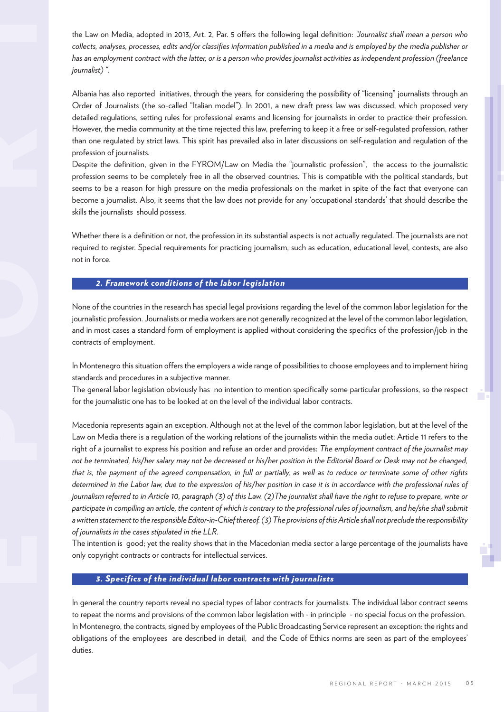the Law on Media, adopted in 2013, Art. 2, Par. 5 offers the following legal definition: *"Journalist shall mean a person who collects, analyses, processes, edits and/or classifies information published in a media and is employed by the media publisher or has an employment contract with the latter, or is a person who provides journalist activities as independent profession (freelance journalist) "*.

Albania has also reported initiatives, through the years, for considering the possibility of "licensing" journalists through an Order of Journalists (the so-called "Italian model"). In 2001, a new draft press law was discussed, which proposed very detailed regulations, setting rules for professional exams and licensing for journalists in order to practice their profession. However, the media community at the time rejected this law, preferring to keep it a free or self-regulated profession, rather than one regulated by strict laws. This spirit has prevailed also in later discussions on self-regulation and regulation of the profession of journalists.

Despite the definition, given in the FYROM/Law on Media the "journalistic profession", the access to the journalistic profession seems to be completely free in all the observed countries. This is compatible with the political standards, but seems to be a reason for high pressure on the media professionals on the market in spite of the fact that everyone can become a journalist. Also, it seems that the law does not provide for any 'occupational standards' that should describe the skills the journalists should possess.

Whether there is a definition or not, the profession in its substantial aspects is not actually regulated. The journalists are not required to register. Special requirements for practicing journalism, such as education, educational level, contests, are also not in force.

#### *2. Framework conditions of the labor legislation*

None of the countries in the research has special legal provisions regarding the level of the common labor legislation for the journalistic profession. Journalists or media workers are not generally recognized at the level of the common labor legislation, and in most cases a standard form of employment is applied without considering the specifics of the profession/job in the contracts of employment.

In Montenegro this situation offers the employers a wide range of possibilities to choose employees and to implement hiring standards and procedures in a subjective manner.

The general labor legislation obviously has no intention to mention specifically some particular professions, so the respect for the journalistic one has to be looked at on the level of the individual labor contracts.

Macedonia represents again an exception. Although not at the level of the common labor legislation, but at the level of the Law on Media there is a regulation of the working relations of the journalists within the media outlet: Article 11 refers to the right of a journalist to express his position and refuse an order and provides: *The employment contract of the journalist may not be terminated, his/her salary may not be decreased or his/her position in the Editorial Board or Desk may not be changed, that is, the payment of the agreed compensation, in full or partially, as well as to reduce or terminate some of other rights determined in the Labor law, due to the expression of his/her position in case it is in accordance with the professional rules of journalism referred to in Article 10, paragraph (3) of this Law. (2)The journalist shall have the right to refuse to prepare, write or participate in compiling an article, the content of which is contrary to the professional rules of journalism, and he/she shall submit a written statement to the responsible Editor-in-Chief thereof. (3) The provisions of this Article shall not preclude the responsibility of journalists in the cases stipulated in the LLR.*

The intention is good; yet the reality shows that in the Macedonian media sector a large percentage of the journalists have only copyright contracts or contracts for intellectual services.

#### *3. Specifics of the individual labor contracts with journalists*

In general the country reports reveal no special types of labor contracts for journalists. The individual labor contract seems to repeat the norms and provisions of the common labor legislation with - in principle - no special focus on the profession. In Montenegro, the contracts, signed by employees of the Public Broadcasting Service represent an exception: the rights and obligations of the employees are described in detail, and the Code of Ethics norms are seen as part of the employees' duties.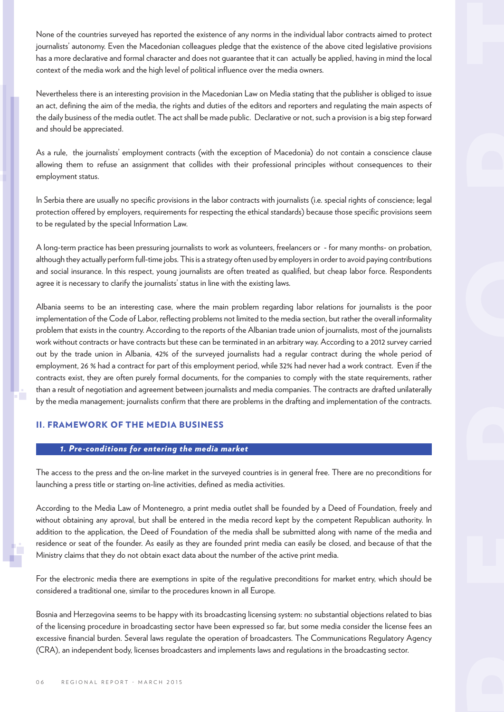None of the countries surveyed has reported the existence of any norms in the individual labor contracts aimed to protect journalists' autonomy. Even the Macedonian colleagues pledge that the existence of the above cited legislative provisions has a more declarative and formal character and does not guarantee that it can actually be applied, having in mind the local context of the media work and the high level of political influence over the media owners.

Nevertheless there is an interesting provision in the Macedonian Law on Media stating that the publisher is obliged to issue an act, defining the aim of the media, the rights and duties of the editors and reporters and regulating the main aspects of the daily business of the media outlet. The act shall be made public. Declarative or not, such a provision is a big step forward and should be appreciated.

As a rule, the journalists' employment contracts (with the exception of Macedonia) do not contain a conscience clause allowing them to refuse an assignment that collides with their professional principles without consequences to their employment status.

In Serbia there are usually no specific provisions in the labor contracts with journalists (i.e. special rights of conscience; legal protection offered by employers, requirements for respecting the ethical standards) because those specific provisions seem to be regulated by the special Information Law.

A long-term practice has been pressuring journalists to work as volunteers, freelancers or - for many months- on probation, although they actually perform full-time jobs. This is a strategy often used by employers in order to avoid paying contributions and social insurance. In this respect, young journalists are often treated as qualified, but cheap labor force. Respondents agree it is necessary to clarify the journalists' status in line with the existing laws.

Albania seems to be an interesting case, where the main problem regarding labor relations for journalists is the poor implementation of the Code of Labor, reflecting problems not limited to the media section, but rather the overall informality problem that exists in the country. According to the reports of the Albanian trade union of journalists, most of the journalists work without contracts or have contracts but these can be terminated in an arbitrary way. According to a 2012 survey carried out by the trade union in Albania, 42% of the surveyed journalists had a regular contract during the whole period of employment, 26 % had a contract for part of this employment period, while 32% had never had a work contract. Even if the contracts exist, they are often purely formal documents, for the companies to comply with the state requirements, rather than a result of negotiation and agreement between journalists and media companies. The contracts are drafted unilaterally by the media management; journalists confirm that there are problems in the drafting and implementation of the contracts.

#### II. FRAMEWORK OF THE MEDIA BUSINESS

#### *1. Pre-conditions for entering the media market*

The access to the press and the on-line market in the surveyed countries is in general free. There are no preconditions for launching a press title or starting on-line activities, defined as media activities.

According to the Media Law of Montenegro, a print media outlet shall be founded by a Deed of Foundation, freely and without obtaining any aproval, but shall be entered in the media record kept by the competent Republican authority. In addition to the application, the Deed of Foundation of the media shall be submitted along with name of the media and residence or seat of the founder. As easily as they are founded print media can easily be closed, and because of that the Ministry claims that they do not obtain exact data about the number of the active print media.

For the electronic media there are exemptions in spite of the regulative preconditions for market entry, which should be considered a traditional one, similar to the procedures known in all Europe.

Bosnia and Herzegovina seems to be happy with its broadcasting licensing system: no substantial objections related to bias of the licensing procedure in broadcasting sector have been expressed so far, but some media consider the license fees an excessive financial burden. Several laws regulate the operation of broadcasters. The Communications Regulatory Agency (CRA), an independent body, licenses broadcasters and implements laws and regulations in the broadcasting sector.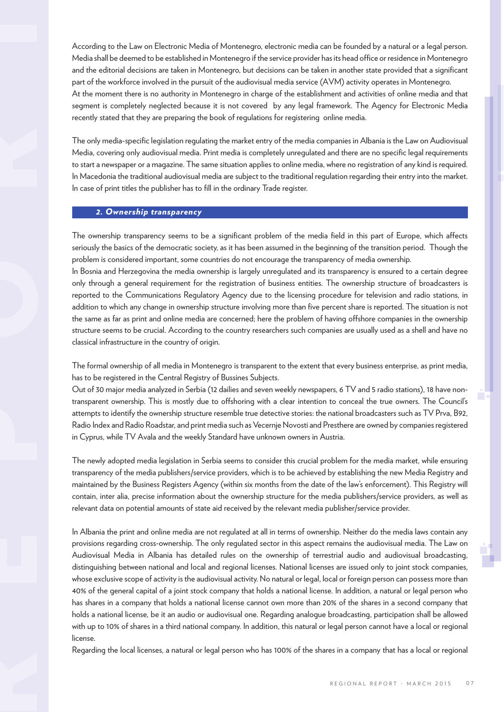According to the Law on Electronic Media of Montenegro, electronic media can be founded by a natural or a legal person. Media shall be deemed to be established in Montenegro if the service provider has its head office or residence in Montenegro and the editorial decisions are taken in Montenegro, but decisions can be taken in another state provided that a significant part of the workforce involved in the pursuit of the audiovisual media service (AVM) activity operates in Montenegro. At the moment there is no authority in Montenegro in charge of the establishment and activities of online media and that segment is completely neglected because it is not covered by any legal framework. The Agency for Electronic Media recently stated that they are preparing the book of regulations for registering online media.

The only media-specific legislation regulating the market entry of the media companies in Albania is the Law on Audiovisual Media, covering only audiovisual media. Print media is completely unregulated and there are no specific legal requirements to start a newspaper or a magazine. The same situation applies to online media, where no registration of any kind is required. In Macedonia the traditional audiovisual media are subject to the traditional regulation regarding their entry into the market. In case of print titles the publisher has to fill in the ordinary Trade register.

#### *2. Ownership transparency*

The ownership transparency seems to be a significant problem of the media field in this part of Europe, which affects seriously the basics of the democratic society, as it has been assumed in the beginning of the transition period. Though the problem is considered important, some countries do not encourage the transparency of media ownership.

In Bosnia and Herzegovina the media ownership is largely unregulated and its transparency is ensured to a certain degree only through a general requirement for the registration of business entities. The ownership structure of broadcasters is reported to the Communications Regulatory Agency due to the licensing procedure for television and radio stations, in addition to which any change in ownership structure involving more than five percent share is reported. The situation is not the same as far as print and online media are concerned; here the problem of having offshore companies in the ownership structure seems to be crucial. According to the country researchers such companies are usually used as a shell and have no classical infrastructure in the country of origin.

The formal ownership of all media in Montenegro is transparent to the extent that every business enterprise, as print media, has to be registered in the Central Registry of Bussines Subjects.

Out of 30 major media analyzed in Serbia (12 dailies and seven weekly newspapers, 6 TV and 5 radio stations), 18 have nontransparent ownership. This is mostly due to offshoring with a clear intention to conceal the true owners. The Council's attempts to identify the ownership structure resemble true detective stories: the national broadcasters such as TV Prva, B92, Radio Index and Radio Roadstar, and print media such as Vecernje Novosti and Presthere are owned by companies registered in Cyprus, while TV Avala and the weekly Standard have unknown owners in Austria.

The newly adopted media legislation in Serbia seems to consider this crucial problem for the media market, while ensuring transparency of the media publishers/service providers, which is to be achieved by establishing the new Media Registry and maintained by the Business Registers Agency (within six months from the date of the law's enforcement). This Registry will contain, inter alia, precise information about the ownership structure for the media publishers/service providers, as well as relevant data on potential amounts of state aid received by the relevant media publisher/service provider.

In Albania the print and online media are not regulated at all in terms of ownership. Neither do the media laws contain any provisions regarding cross-ownership. The only regulated sector in this aspect remains the audiovisual media. The Law on Audiovisual Media in Albania has detailed rules on the ownership of terrestrial audio and audiovisual broadcasting, distinguishing between national and local and regional licenses. National licenses are issued only to joint stock companies, whose exclusive scope of activity is the audiovisual activity. No natural or legal, local or foreign person can possess more than 40% of the general capital of a joint stock company that holds a national license. In addition, a natural or legal person who has shares in a company that holds a national license cannot own more than 20% of the shares in a second company that holds a national license, be it an audio or audiovisual one. Regarding analogue broadcasting, participation shall be allowed with up to 10% of shares in a third national company. In addition, this natural or legal person cannot have a local or regional license.

Regarding the local licenses, a natural or legal person who has 100% of the shares in a company that has a local or regional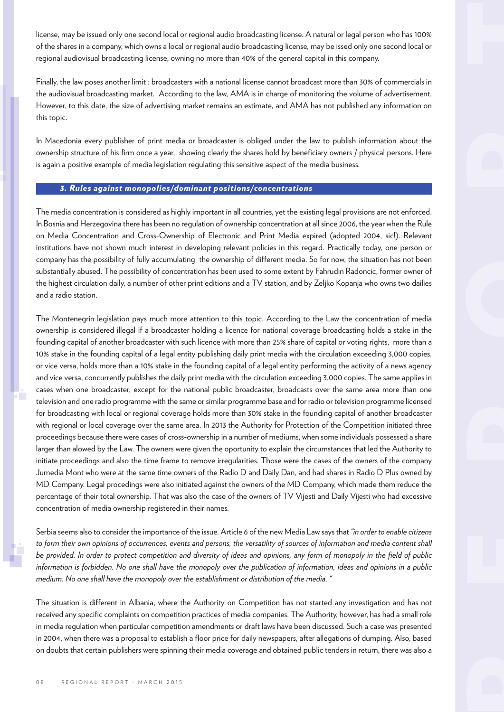license, may be issued only one second local or regional audio broadcasting license. A natural or legal person who has 100% of the shares in a company, which owns a local or regional audio broadcasting license, may be issed only one second local or regional audiovisual broadcasting license, owning no more than 40% of the general capital in this company.

Finally, the law poses another limit : broadcasters with a national license cannot broadcast more than 30% of commercials in the audiovisual broadcasting market. According to the law, AMA is in charge of monitoring the volume of advertisement. However, to this date, the size of advertising market remains an estimate, and AMA has not published any information on this topic.

In Macedonia every publisher of print media or broadcaster is obliged under the law to publish information about the ownership structure of his firm once a year, showing clearly the shares hold by beneficiary owners / physical persons. Here is again a positive example of media legislation regulating this sensitive aspect of the media business.

#### *3. Rules against monopolies/dominant positions/concentrations*

The media concentration is considered as highly important in all countries, yet the existing legal provisions are not enforced. In Bosnia and Herzegovina there has been no regulation of ownership concentration at all since 2006, the year when the Rule on Media Concentration and Cross-Ownership of Electronic and Print Media expired (adopted 2004, sic!). Relevant institutions have not shown much interest in developing relevant policies in this regard. Practically today, one person or company has the possibility of fully accumulating the ownership of different media. So for now, the situation has not been substantially abused. The possibility of concentration has been used to some extent by Fahrudin Radoncic, former owner of the highest circulation daily, a number of other print editions and a TV station, and by Zeljko Kopanja who owns two dailies and a radio station.

The Montenegrin legislation pays much more attention to this topic. According to the Law the concentration of media ownership is considered illegal if a broadcaster holding a licence for national coverage broadcasting holds a stake in the founding capital of another broadcaster with such licence with more than 25% share of capital or voting rights, more than a 10% stake in the founding capital of a legal entity publishing daily print media with the circulation exceeding 3,000 copies, or vice versa, holds more than a 10% stake in the founding capital of a legal entity performing the activity of a news agency and vice versa, concurrently publishes the daily print media with the circulation exceeding 3,000 copies. The same applies in cases when one broadcaster, except for the national public broadcaster, broadcasts over the same area more than one television and one radio programme with the same or similar programme base and for radio or television programme licensed for broadcasting with local or regional coverage holds more than 30% stake in the founding capital of another broadcaster with regional or local coverage over the same area. In 2013 the Authority for Protection of the Competition initiated three proceedings because there were cases of cross-ownership in a number of mediums, when some individuals possessed a share larger than alowed by the Law. The owners were given the oportunity to explain the circumstances that led the Authority to initiate proceedings and also the time frame to remove irregularities. Those were the cases of the owners of the company Jumedia Mont who were at the same time owners of the Radio D and Daily Dan, and had shares in Radio D Plus owned by MD Company. Legal procedings were also initiated against the owners of the MD Company, which made them reduce the percentage of their total ownership. That was also the case of the owners of TV Vijesti and Daily Vijesti who had excessive concentration of media ownership registered in their names.

Serbia seems also to consider the importance of the issue. Article 6 of the new Media Law says that *"in order to enable citizens*  to form their own opinions of occurrences, events and persons, the versatility of sources of information and media content shall *be provided. In order to protect competition and diversity of ideas and opinions, any form of monopoly in the field of public information is forbidden. No one shall have the monopoly over the publication of information, ideas and opinions in a public medium. No one shall have the monopoly over the establishment or distribution of the media. "*

The situation is different in Albania, where the Authority on Competition has not started any investigation and has not received any specific complaints on competition practices of media companies. The Authority, however, has had a small role in media regulation when particular competition amendments or draft laws have been discussed. Such a case was presented in 2004, when there was a proposal to establish a floor price for daily newspapers, after allegations of dumping. Also, based on doubts that certain publishers were spinning their media coverage and obtained public tenders in return, there was also a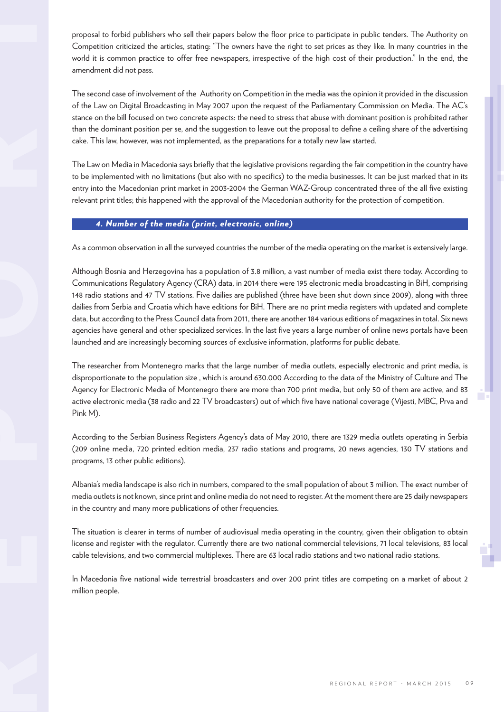proposal to forbid publishers who sell their papers below the floor price to participate in public tenders. The Authority on Competition criticized the articles, stating: "The owners have the right to set prices as they like. In many countries in the world it is common practice to offer free newspapers, irrespective of the high cost of their production." In the end, the amendment did not pass.

The second case of involvement of the Authority on Competition in the media was the opinion it provided in the discussion of the Law on Digital Broadcasting in May 2007 upon the request of the Parliamentary Commission on Media. The AC's stance on the bill focused on two concrete aspects: the need to stress that abuse with dominant position is prohibited rather than the dominant position per se, and the suggestion to leave out the proposal to define a ceiling share of the advertising cake. This law, however, was not implemented, as the preparations for a totally new law started.

The Law on Media in Macedonia says briefly that the legislative provisions regarding the fair competition in the country have to be implemented with no limitations (but also with no specifics) to the media businesses. It can be just marked that in its entry into the Macedonian print market in 2003-2004 the German WAZ-Group concentrated three of the all five existing relevant print titles; this happened with the approval of the Macedonian authority for the protection of competition.

#### *4. Number of the media (print, electronic, online)*

As a common observation in all the surveyed countries the number of the media operating on the market is extensively large.

Although Bosnia and Herzegovina has a population of 3.8 million, a vast number of media exist there today. According to Communications Regulatory Agency (CRA) data, in 2014 there were 195 electronic media broadcasting in BiH, comprising 148 radio stations and 47 TV stations. Five dailies are published (three have been shut down since 2009), along with three dailies from Serbia and Croatia which have editions for BiH. There are no print media registers with updated and complete data, but according to the Press Council data from 2011, there are another 184 various editions of magazines in total. Six news agencies have general and other specialized services. In the last five years a large number of online news portals have been launched and are increasingly becoming sources of exclusive information, platforms for public debate.

The researcher from Montenegro marks that the large number of media outlets, especially electronic and print media, is disproportionate to the population size , which is around 630.000 According to the data of the Ministry of Culture and The Agency for Electronic Media of Montenegro there are more than 700 print media, but only 50 of them are active, and 83 active electronic media (38 radio and 22 TV broadcasters) out of which five have national coverage (Vijesti, MBC, Prva and Pink M).

According to the Serbian Business Registers Agency's data of May 2010, there are 1329 media outlets operating in Serbia (209 online media, 720 printed edition media, 237 radio stations and programs, 20 news agencies, 130 TV stations and programs, 13 other public editions).

Albania's media landscape is also rich in numbers, compared to the small population of about 3 million. The exact number of media outlets is not known, since print and online media do not need to register. At the moment there are 25 daily newspapers in the country and many more publications of other frequencies.

The situation is clearer in terms of number of audiovisual media operating in the country, given their obligation to obtain license and register with the regulator. Currently there are two national commercial televisions, 71 local televisions, 83 local cable televisions, and two commercial multiplexes. There are 63 local radio stations and two national radio stations.

In Macedonia five national wide terrestrial broadcasters and over 200 print titles are competing on a market of about 2 million people.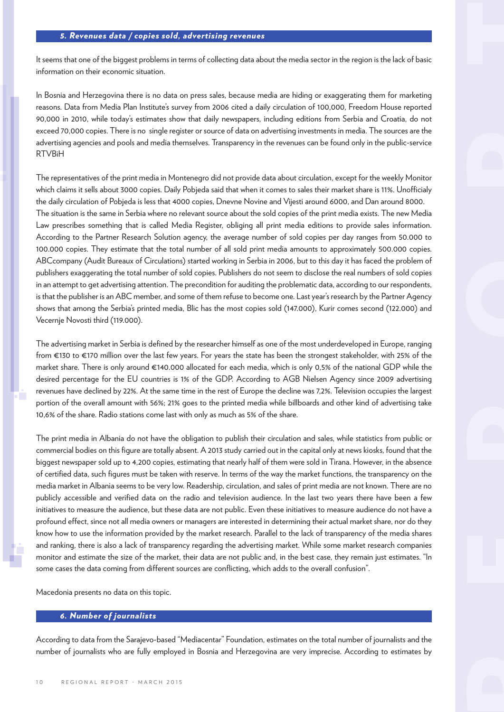It seems that one of the biggest problems in terms of collecting data about the media sector in the region is the lack of basic information on their economic situation.

In Bosnia and Herzegovina there is no data on press sales, because media are hiding or exaggerating them for marketing reasons. Data from Media Plan Institute's survey from 2006 cited a daily circulation of 100,000, Freedom House reported 90,000 in 2010, while today's estimates show that daily newspapers, including editions from Serbia and Croatia, do not exceed 70,000 copies. There is no single register or source of data on advertising investments in media. The sources are the advertising agencies and pools and media themselves. Transparency in the revenues can be found only in the public-service RTVBiH

The representatives of the print media in Montenegro did not provide data about circulation, except for the weekly Monitor which claims it sells about 3000 copies. Daily Pobjeda said that when it comes to sales their market share is 11%. Unofficialy the daily circulation of Pobjeda is less that 4000 copies, Dnevne Novine and Vijesti around 6000, and Dan around 8000. The situation is the same in Serbia where no relevant source about the sold copies of the print media exists. The new Media Law prescribes something that is called Media Register, obliging all print media editions to provide sales information. According to the Partner Research Solution agency, the average number of sold copies per day ranges from 50.000 to 100.000 copies. They estimate that the total number of all sold print media amounts to approximately 500.000 copies. ABCcompany (Audit Bureaux of Circulations) started working in Serbia in 2006, but to this day it has faced the problem of publishers exaggerating the total number of sold copies. Publishers do not seem to disclose the real numbers of sold copies in an attempt to get advertising attention. The precondition for auditing the problematic data, according to our respondents, is that the publisher is an ABC member, and some of them refuse to become one. Last year's research by the Partner Agency shows that among the Serbia's printed media, Blic has the most copies sold (147.000), Kurir comes second (122.000) and Vecernje Novosti third (119.000).

The advertising market in Serbia is defined by the researcher himself as one of the most underdeveloped in Europe, ranging from €130 to €170 million over the last few years. For years the state has been the strongest stakeholder, with 25% of the market share. There is only around €140.000 allocated for each media, which is only 0,5% of the national GDP while the desired percentage for the EU countries is 1% of the GDP. According to AGB Nielsen Agency since 2009 advertising revenues have declined by 22%. At the same time in the rest of Europe the decline was 7,2%. Television occupies the largest portion of the overall amount with 56%; 21% goes to the printed media while billboards and other kind of advertising take 10,6% of the share. Radio stations come last with only as much as 5% of the share.

The print media in Albania do not have the obligation to publish their circulation and sales, while statistics from public or commercial bodies on this figure are totally absent. A 2013 study carried out in the capital only at news kiosks, found that the biggest newspaper sold up to 4,200 copies, estimating that nearly half of them were sold in Tirana. However, in the absence of certified data, such figures must be taken with reserve. In terms of the way the market functions, the transparency on the media market in Albania seems to be very low. Readership, circulation, and sales of print media are not known. There are no publicly accessible and verified data on the radio and television audience. In the last two years there have been a few initiatives to measure the audience, but these data are not public. Even these initiatives to measure audience do not have a profound effect, since not all media owners or managers are interested in determining their actual market share, nor do they know how to use the information provided by the market research. Parallel to the lack of transparency of the media shares and ranking, there is also a lack of transparency regarding the advertising market. While some market research companies monitor and estimate the size of the market, their data are not public and, in the best case, they remain just estimates. "In some cases the data coming from different sources are conflicting, which adds to the overall confusion".

Macedonia presents no data on this topic.

#### *6. Number of journalists*

According to data from the Sarajevo-based "Mediacentar" Foundation, estimates on the total number of journalists and the number of journalists who are fully employed in Bosnia and Herzegovina are very imprecise. According to estimates by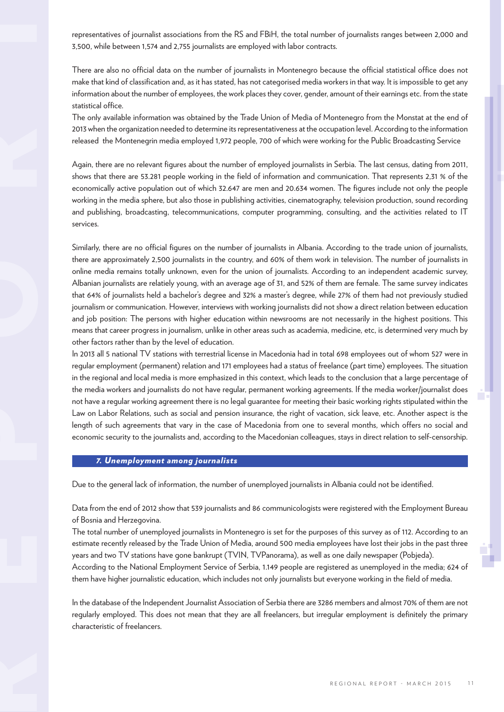representatives of journalist associations from the RS and FBiH, the total number of journalists ranges between 2,000 and 3,500, while between 1,574 and 2,755 journalists are employed with labor contracts.

There are also no official data on the number of journalists in Montenegro because the official statistical office does not make that kind of classification and, as it has stated, has not categorised media workers in that way. It is impossible to get any information about the number of employees, the work places they cover, gender, amount of their earnings etc. from the state statistical office.

The only available information was obtained by the Trade Union of Media of Montenegro from the Monstat at the end of 2013 when the organization needed to determine its representativeness at the occupation level. According to the information released the Montenegrin media employed 1,972 people, 700 of which were working for the Public Broadcasting Service

Again, there are no relevant figures about the number of employed journalists in Serbia. The last census, dating from 2011, shows that there are 53.281 people working in the field of information and communication. That represents 2,31 % of the economically active population out of which 32.647 are men and 20.634 women. The figures include not only the people working in the media sphere, but also those in publishing activities, cinematography, television production, sound recording and publishing, broadcasting, telecommunications, computer programming, consulting, and the activities related to IT services.

Similarly, there are no official figures on the number of journalists in Albania. According to the trade union of journalists, there are approximately 2,500 journalists in the country, and 60% of them work in television. The number of journalists in online media remains totally unknown, even for the union of journalists. According to an independent academic survey, Albanian journalists are relatiely young, with an average age of 31, and 52% of them are female. The same survey indicates that 64% of journalists held a bachelor's degree and 32% a master's degree, while 27% of them had not previously studied journalism or communication. However, interviews with working journalists did not show a direct relation between education and job position: The persons with higher education within newsrooms are not necessarily in the highest positions. This means that career progress in journalism, unlike in other areas such as academia, medicine, etc, is determined very much by other factors rather than by the level of education.

In 2013 all 5 national TV stations with terrestrial license in Macedonia had in total 698 employees out of whom 527 were in regular employment (permanent) relation and 171 employees had a status of freelance (part time) employees. The situation in the regional and local media is more emphasized in this context, which leads to the conclusion that a large percentage of the media workers and journalists do not have regular, permanent working agreements. If the media worker/journalist does not have a regular working agreement there is no legal guarantee for meeting their basic working rights stipulated within the Law on Labor Relations, such as social and pension insurance, the right of vacation, sick leave, etc. Another aspect is the length of such agreements that vary in the case of Macedonia from one to several months, which offers no social and economic security to the journalists and, according to the Macedonian colleagues, stays in direct relation to self-censorship.

#### *7. Unemployment among journalists*

Due to the general lack of information, the number of unemployed journalists in Albania could not be identified.

Data from the end of 2012 show that 539 journalists and 86 communicologists were registered with the Employment Bureau of Bosnia and Herzegovina.

The total number of unemployed journalists in Montenegro is set for the purposes of this survey as of 112. According to an estimate recently released by the Trade Union of Media, around 500 media employees have lost their jobs in the past three years and two TV stations have gone bankrupt (TVIN, TVPanorama), as well as one daily newspaper (Pobjeda). According to the National Employment Service of Serbia, 1.149 people are registered as unemployed in the media; 624 of them have higher journalistic education, which includes not only journalists but everyone working in the field of media.

In the database of the Independent Journalist Association of Serbia there are 3286 members and almost 70% of them are not regularly employed. This does not mean that they are all freelancers, but irregular employment is definitely the primary characteristic of freelancers.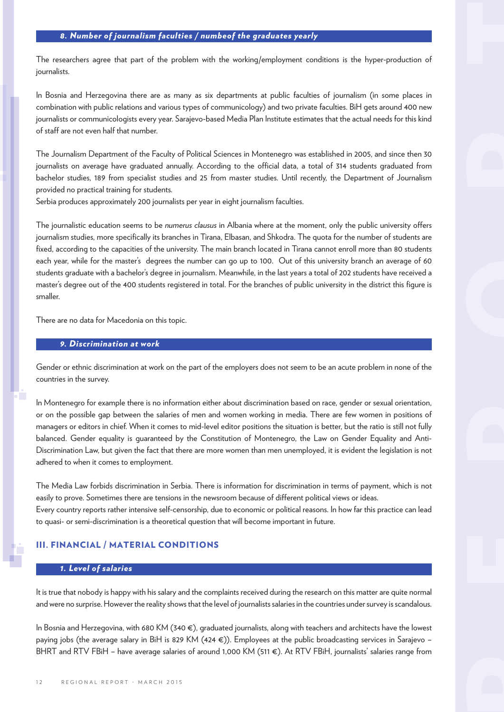#### *8. Number of journalism faculties / numbeof the graduates yearly*

The researchers agree that part of the problem with the working/employment conditions is the hyper-production of journalists.

In Bosnia and Herzegovina there are as many as six departments at public faculties of journalism (in some places in combination with public relations and various types of communicology) and two private faculties. BiH gets around 400 new journalists or communicologists every year. Sarajevo-based Media Plan Institute estimates that the actual needs for this kind of staff are not even half that number.

The Journalism Department of the Faculty of Political Sciences in Montenegro was established in 2005, and since then 30 journalists on average have graduated annually. According to the official data, a total of 314 students graduated from bachelor studies, 189 from specialist studies and 25 from master studies. Until recently, the Department of Journalism provided no practical training for students.

Serbia produces approximately 200 journalists per year in eight journalism faculties.

The journalistic education seems to be *numerus clausus* in Albania where at the moment, only the public university offers journalism studies, more specifically its branches in Tirana, Elbasan, and Shkodra. The quota for the number of students are fixed, according to the capacities of the university. The main branch located in Tirana cannot enroll more than 80 students each year, while for the master's degrees the number can go up to 100. Out of this university branch an average of 60 students graduate with a bachelor's degree in journalism. Meanwhile, in the last years a total of 202 students have received a master's degree out of the 400 students registered in total. For the branches of public university in the district this figure is smaller.

There are no data for Macedonia on this topic.

#### *9. Discrimination at work*

Gender or ethnic discrimination at work on the part of the employers does not seem to be an acute problem in none of the countries in the survey.

In Montenegro for example there is no information either about discrimination based on race, gender or sexual orientation, or on the possible gap between the salaries of men and women working in media. There are few women in positions of managers or editors in chief. When it comes to mid-level editor positions the situation is better, but the ratio is still not fully balanced. Gender equality is guaranteed by the Constitution of Montenegro, the Law on Gender Equality and Anti-Discrimination Law, but given the fact that there are more women than men unemployed, it is evident the legislation is not adhered to when it comes to employment.

The Media Law forbids discrimination in Serbia. There is information for discrimination in terms of payment, which is not easily to prove. Sometimes there are tensions in the newsroom because of different political views or ideas. Every country reports rather intensive self-censorship, due to economic or political reasons. In how far this practice can lead to quasi- or semi-discrimination is a theoretical question that will become important in future.

#### III. FINANCIAL / MATERIAL CONDITIONS

#### *1. Level of salaries*

It is true that nobody is happy with his salary and the complaints received during the research on this matter are quite normal and were no surprise. However the reality shows that the level of journalists salaries in the countries under survey is scandalous.

In Bosnia and Herzegovina, with 680 KM (340 €), graduated journalists, along with teachers and architects have the lowest paying jobs (the average salary in BiH is 829 KM (424 €)). Employees at the public broadcasting services in Sarajevo – BHRT and RTV FBiH – have average salaries of around 1,000 KM (511 €). At RTV FBiH, journalists' salaries range from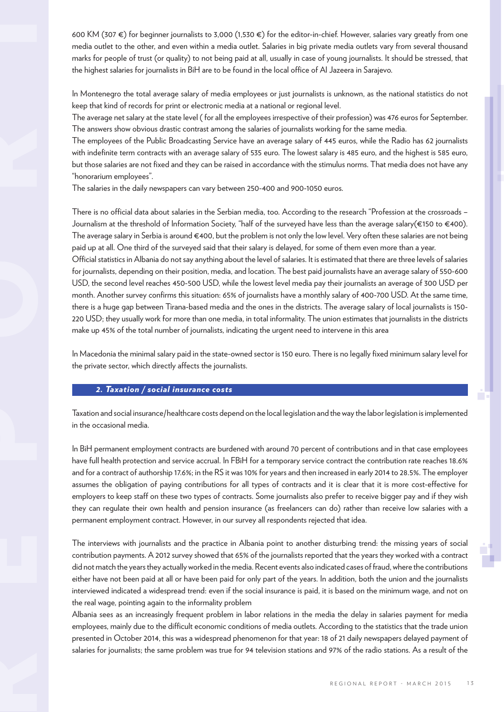600 KM (307 €) for beginner journalists to 3,000 (1,530 €) for the editor-in-chief. However, salaries vary greatly from one media outlet to the other, and even within a media outlet. Salaries in big private media outlets vary from several thousand marks for people of trust (or quality) to not being paid at all, usually in case of young journalists. It should be stressed, that the highest salaries for journalists in BiH are to be found in the local office of Al Jazeera in Sarajevo.

In Montenegro the total average salary of media employees or just journalists is unknown, as the national statistics do not keep that kind of records for print or electronic media at a national or regional level.

The average net salary at the state level ( for all the employees irrespective of their profession) was 476 euros for September. The answers show obvious drastic contrast among the salaries of journalists working for the same media.

The employees of the Public Broadcasting Service have an average salary of 445 euros, while the Radio has 62 journalists with indefinite term contracts with an average salary of 535 euro. The lowest salary is 485 euro, and the highest is 585 euro, but those salaries are not fixed and they can be raised in accordance with the stimulus norms. That media does not have any "honorarium employees".

The salaries in the daily newspapers can vary between 250-400 and 900-1050 euros.

There is no official data about salaries in the Serbian media, too. According to the research "Profession at the crossroads – Journalism at the threshold of Information Society, "half of the surveyed have less than the average salary(€150 to €400). The average salary in Serbia is around €400, but the problem is not only the low level. Very often these salaries are not being paid up at all. One third of the surveyed said that their salary is delayed, for some of them even more than a year.

Official statistics in Albania do not say anything about the level of salaries. It is estimated that there are three levels of salaries for journalists, depending on their position, media, and location. The best paid journalists have an average salary of 550-600 USD, the second level reaches 450-500 USD, while the lowest level media pay their journalists an average of 300 USD per month. Another survey confirms this situation: 65% of journalists have a monthly salary of 400-700 USD. At the same time, there is a huge gap between Tirana-based media and the ones in the districts. The average salary of local journalists is 150- 220 USD; they usually work for more than one media, in total informality. The union estimates that journalists in the districts make up 45% of the total number of journalists, indicating the urgent need to intervene in this area

In Macedonia the minimal salary paid in the state-owned sector is 150 euro. There is no legally fixed minimum salary level for the private sector, which directly affects the journalists.

#### *2. Taxation / social insurance costs*

Taxation and social insurance/healthcare costs depend on the local legislation and the way the labor legislation is implemented in the occasional media.

In BiH permanent employment contracts are burdened with around 70 percent of contributions and in that case employees have full health protection and service accrual. In FBiH for a temporary service contract the contribution rate reaches 18.6% and for a contract of authorship 17.6%; in the RS it was 10% for years and then increased in early 2014 to 28.5%. The employer assumes the obligation of paying contributions for all types of contracts and it is clear that it is more cost-effective for employers to keep staff on these two types of contracts. Some journalists also prefer to receive bigger pay and if they wish they can regulate their own health and pension insurance (as freelancers can do) rather than receive low salaries with a permanent employment contract. However, in our survey all respondents rejected that idea.

The interviews with journalists and the practice in Albania point to another disturbing trend: the missing years of social contribution payments. A 2012 survey showed that 65% of the journalists reported that the years they worked with a contract did not match the years they actually worked in the media. Recent events also indicated cases of fraud, where the contributions either have not been paid at all or have been paid for only part of the years. In addition, both the union and the journalists interviewed indicated a widespread trend: even if the social insurance is paid, it is based on the minimum wage, and not on the real wage, pointing again to the informality problem

Albania sees as an increasingly frequent problem in labor relations in the media the delay in salaries payment for media employees, mainly due to the difficult economic conditions of media outlets. According to the statistics that the trade union presented in October 2014, this was a widespread phenomenon for that year: 18 of 21 daily newspapers delayed payment of salaries for journalists; the same problem was true for 94 television stations and 97% of the radio stations. As a result of the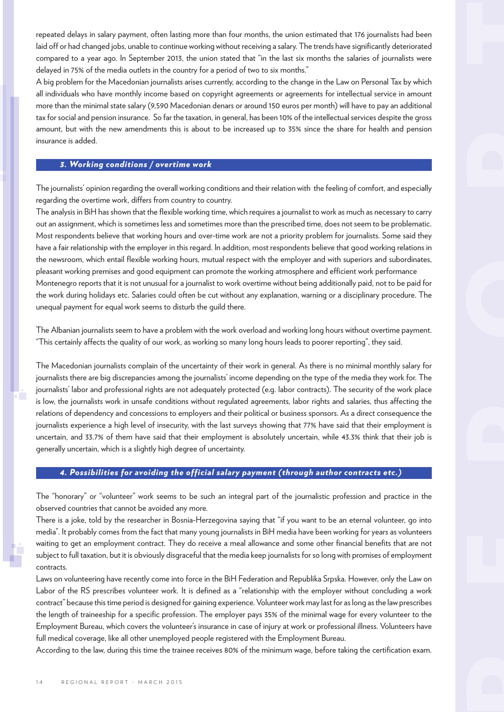repeated delays in salary payment, often lasting more than four months, the union estimated that 176 journalists had been laid off or had changed jobs, unable to continue working without receiving a salary. The trends have significantly deteriorated compared to a year ago. In September 2013, the union stated that "in the last six months the salaries of journalists were delayed in 75% of the media outlets in the country for a period of two to six months."

A big problem for the Macedonian journalists arises currently, according to the change in the Law on Personal Tax by which all individuals who have monthly income based on copyright agreements or agreements for intellectual service in amount more than the minimal state salary (9,590 Macedonian denars or around 150 euros per month) will have to pay an additional tax for social and pension insurance. So far the taxation, in general, has been 10% of the intellectual services despite the gross amount, but with the new amendments this is about to be increased up to 35% since the share for health and pension insurance is added.

#### *3. Working conditions / overtime work*

The journalists' opinion regarding the overall working conditions and their relation with the feeling of comfort, and especially regarding the overtime work, differs from country to country.

The analysis in BiH has shown that the flexible working time, which requires a journalist to work as much as necessary to carry out an assignment, which is sometimes less and sometimes more than the prescribed time, does not seem to be problematic. Most respondents believe that working hours and over-time work are not a priority problem for journalists. Some said they have a fair relationship with the employer in this regard. In addition, most respondents believe that good working relations in the newsroom, which entail flexible working hours, mutual respect with the employer and with superiors and subordinates, pleasant working premises and good equipment can promote the working atmosphere and efficient work performance Montenegro reports that it is not unusual for a journalist to work overtime without being additionally paid, not to be paid for the work during holidays etc. Salaries could often be cut without any explanation, warning or a disciplinary procedure. The unequal payment for equal work seems to disturb the guild there.

The Albanian journalists seem to have a problem with the work overload and working long hours without overtime payment. "This certainly affects the quality of our work, as working so many long hours leads to poorer reporting", they said.

The Macedonian journalists complain of the uncertainty of their work in general. As there is no minimal monthly salary for journalists there are big discrepancies among the journalists' income depending on the type of the media they work for. The journalists' labor and professional rights are not adequately protected (e.g. labor contracts). The security of the work place is low, the journalists work in unsafe conditions without regulated agreements, labor rights and salaries, thus affecting the relations of dependency and concessions to employers and their political or business sponsors. As a direct consequence the journalists experience a high level of insecurity, with the last surveys showing that 77% have said that their employment is uncertain, and 33.7% of them have said that their employment is absolutely uncertain, while 43.3% think that their job is generally uncertain, which is a slightly high degree of uncertainty.

#### *4. Possibilities for avoiding the official salary payment (through author contracts etc.)*

The "honorary" or "volunteer" work seems to be such an integral part of the journalistic profession and practice in the observed countries that cannot be avoided any more.

There is a joke, told by the researcher in Bosnia-Herzegovina saying that "if you want to be an eternal volunteer, go into media". It probably comes from the fact that many young journalists in BiH media have been working for years as volunteers waiting to get an employment contract. They do receive a meal allowance and some other financial benefits that are not subject to full taxation, but it is obviously disgraceful that the media keep journalists for so long with promises of employment contracts.

Laws on volunteering have recently come into force in the BiH Federation and Republika Srpska. However, only the Law on Labor of the RS prescribes volunteer work. It is defined as a "relationship with the employer without concluding a work contract" because this time period is designed for gaining experience. Volunteer work may last for as long as the law prescribes the length of traineeship for a specific profession. The employer pays 35% of the minimal wage for every volunteer to the Employment Bureau, which covers the volunteer's insurance in case of injury at work or professional illness. Volunteers have full medical coverage, like all other unemployed people registered with the Employment Bureau.

According to the law, during this time the trainee receives 80% of the minimum wage, before taking the certification exam.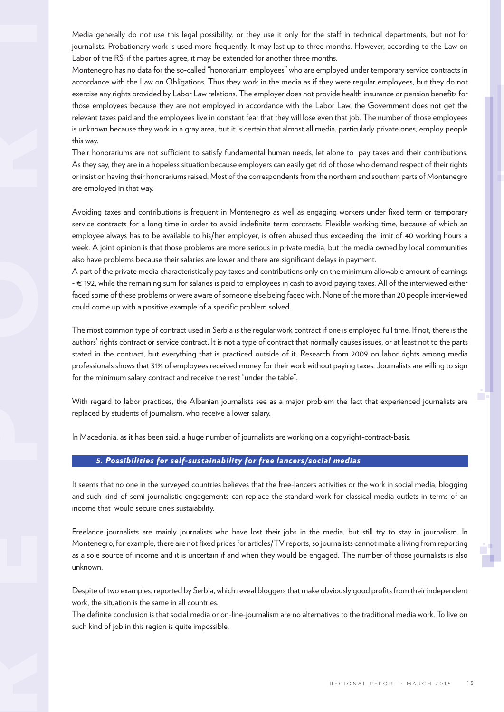Media generally do not use this legal possibility, or they use it only for the staff in technical departments, but not for journalists. Probationary work is used more frequently. It may last up to three months. However, according to the Law on Labor of the RS, if the parties agree, it may be extended for another three months.

Montenegro has no data for the so-called "honorarium employees" who are employed under temporary service contracts in accordance with the Law on Obligations. Thus they work in the media as if they were regular employees, but they do not exercise any rights provided by Labor Law relations. The employer does not provide health insurance or pension benefits for those employees because they are not employed in accordance with the Labor Law, the Government does not get the relevant taxes paid and the employees live in constant fear that they will lose even that job. The number of those employees is unknown because they work in a gray area, but it is certain that almost all media, particularly private ones, employ people this way.

Their honorariums are not sufficient to satisfy fundamental human needs, let alone to pay taxes and their contributions. As they say, they are in a hopeless situation because employers can easily get rid of those who demand respect of their rights or insist on having their honorariums raised. Most of the correspondents from the northern and southern parts of Montenegro are employed in that way.

Avoiding taxes and contributions is frequent in Montenegro as well as engaging workers under fixed term or temporary service contracts for a long time in order to avoid indefinite term contracts. Flexible working time, because of which an employee always has to be available to his/her employer, is often abused thus exceeding the limit of 40 working hours a week. A joint opinion is that those problems are more serious in private media, but the media owned by local communities also have problems because their salaries are lower and there are significant delays in payment.

A part of the private media characteristically pay taxes and contributions only on the minimum allowable amount of earnings - € 192, while the remaining sum for salaries is paid to employees in cash to avoid paying taxes. All of the interviewed either faced some of these problems or were aware of someone else being faced with. None of the more than 20 people interviewed could come up with a positive example of a specific problem solved.

The most common type of contract used in Serbia is the regular work contract if one is employed full time. If not, there is the authors' rights contract or service contract. It is not a type of contract that normally causes issues, or at least not to the parts stated in the contract, but everything that is practiced outside of it. Research from 2009 on labor rights among media professionals shows that 31% of employees received money for their work without paying taxes. Journalists are willing to sign for the minimum salary contract and receive the rest "under the table".

With regard to labor practices, the Albanian journalists see as a major problem the fact that experienced journalists are replaced by students of journalism, who receive a lower salary.

In Macedonia, as it has been said, a huge number of journalists are working on a copyright-contract-basis.

#### *5. Possibilities for self-sustainability for free lancers/social medias*

It seems that no one in the surveyed countries believes that the free-lancers activities or the work in social media, blogging and such kind of semi-journalistic engagements can replace the standard work for classical media outlets in terms of an income that would secure one's sustaiability.

Freelance journalists are mainly journalists who have lost their jobs in the media, but still try to stay in journalism. In Montenegro, for example, there are not fixed prices for articles/TV reports, so journalists cannot make a living from reporting as a sole source of income and it is uncertain if and when they would be engaged. The number of those journalists is also unknown.

Despite of two examples, reported by Serbia, which reveal bloggers that make obviously good profits from their independent work, the situation is the same in all countries.

The definite conclusion is that social media or on-line-journalism are no alternatives to the traditional media work. To live on such kind of job in this region is quite impossible.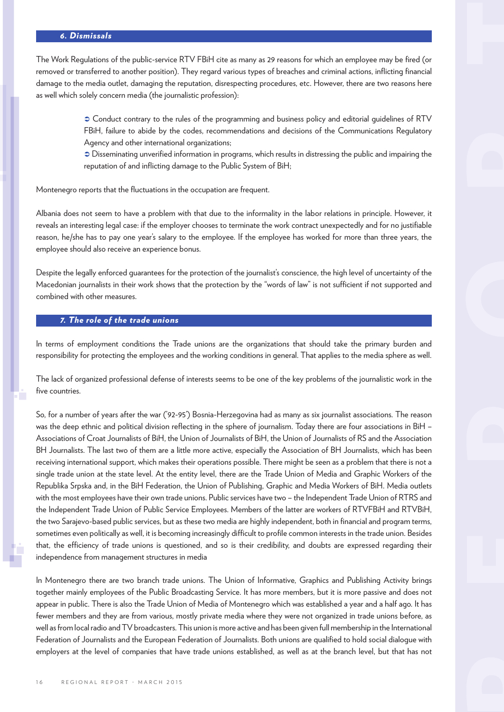#### *6. Dismissals*

The Work Regulations of the public-service RTV FBiH cite as many as 29 reasons for which an employee may be fired (or removed or transferred to another position). They regard various types of breaches and criminal actions, inflicting financial damage to the media outlet, damaging the reputation, disrespecting procedures, etc. However, there are two reasons here as well which solely concern media (the journalistic profession):

> Conduct contrary to the rules of the programming and business policy and editorial guidelines of RTV FBiH, failure to abide by the codes, recommendations and decisions of the Communications Regulatory Agency and other international organizations;

> Disseminating unverified information in programs, which results in distressing the public and impairing the reputation of and inflicting damage to the Public System of BiH;

Montenegro reports that the fluctuations in the occupation are frequent.

Albania does not seem to have a problem with that due to the informality in the labor relations in principle. However, it reveals an interesting legal case: if the employer chooses to terminate the work contract unexpectedly and for no justifiable reason, he/she has to pay one year's salary to the employee. If the employee has worked for more than three years, the employee should also receive an experience bonus.

Despite the legally enforced guarantees for the protection of the journalist's conscience, the high level of uncertainty of the Macedonian journalists in their work shows that the protection by the "words of law" is not sufficient if not supported and combined with other measures.

#### *7. The role of the trade unions*

In terms of employment conditions the Trade unions are the organizations that should take the primary burden and responsibility for protecting the employees and the working conditions in general. That applies to the media sphere as well.

The lack of organized professional defense of interests seems to be one of the key problems of the journalistic work in the five countries.

So, for a number of years after the war ('92-95') Bosnia-Herzegovina had as many as six journalist associations. The reason was the deep ethnic and political division reflecting in the sphere of journalism. Today there are four associations in BiH – Associations of Croat Journalists of BiH, the Union of Journalists of BiH, the Union of Journalists of RS and the Association BH Journalists. The last two of them are a little more active, especially the Association of BH Journalists, which has been receiving international support, which makes their operations possible. There might be seen as a problem that there is not a single trade union at the state level. At the entity level, there are the Trade Union of Media and Graphic Workers of the Republika Srpska and, in the BiH Federation, the Union of Publishing, Graphic and Media Workers of BiH. Media outlets with the most employees have their own trade unions. Public services have two – the Independent Trade Union of RTRS and the Independent Trade Union of Public Service Employees. Members of the latter are workers of RTVFBiH and RTVBiH, the two Sarajevo-based public services, but as these two media are highly independent, both in financial and program terms, sometimes even politically as well, it is becoming increasingly difficult to profile common interests in the trade union. Besides that, the efficiency of trade unions is questioned, and so is their credibility, and doubts are expressed regarding their independence from management structures in media

In Montenegro there are two branch trade unions. The Union of Informative, Graphics and Publishing Activity brings together mainly employees of the Public Broadcasting Service. It has more members, but it is more passive and does not appear in public. There is also the Trade Union of Media of Montenegro which was established a year and a half ago. It has fewer members and they are from various, mostly private media where they were not organized in trade unions before, as well as from local radio and TV broadcasters. This union is more active and has been given full membership in the International Federation of Journalists and the European Federation of Journalists. Both unions are qualified to hold social dialogue with employers at the level of companies that have trade unions established, as well as at the branch level, but that has not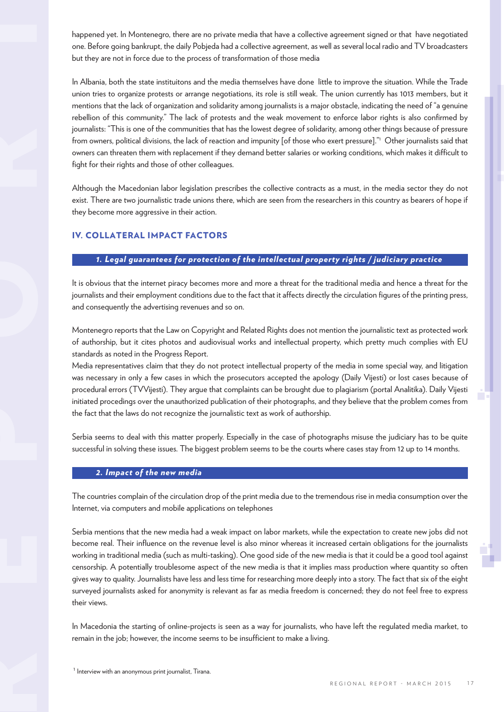happened yet. In Montenegro, there are no private media that have a collective agreement signed or that have negotiated one. Before going bankrupt, the daily Pobjeda had a collective agreement, as well as several local radio and TV broadcasters but they are not in force due to the process of transformation of those media

In Albania, both the state instituitons and the media themselves have done little to improve the situation. While the Trade union tries to organize protests or arrange negotiations, its role is still weak. The union currently has 1013 members, but it mentions that the lack of organization and solidarity among journalists is a major obstacle, indicating the need of "a genuine rebellion of this community." The lack of protests and the weak movement to enforce labor rights is also confirmed by journalists: "This is one of the communities that has the lowest degree of solidarity, among other things because of pressure from owners, political divisions, the lack of reaction and impunity [of those who exert pressure]."I Other journalists said that owners can threaten them with replacement if they demand better salaries or working conditions, which makes it difficult to fight for their rights and those of other colleagues.

Although the Macedonian labor legislation prescribes the collective contracts as a must, in the media sector they do not exist. There are two journalistic trade unions there, which are seen from the researchers in this country as bearers of hope if they become more aggressive in their action.

#### IV. COLLATERAL IMPACT FACTORS

#### *1. Legal guarantees for protection of the intellectual property rights / judiciary practice*

It is obvious that the internet piracy becomes more and more a threat for the traditional media and hence a threat for the journalists and their employment conditions due to the fact that it affects directly the circulation figures of the printing press, and consequently the advertising revenues and so on.

Montenegro reports that the Law on Copyright and Related Rights does not mention the journalistic text as protected work of authorship, but it cites photos and audiovisual works and intellectual property, which pretty much complies with EU standards as noted in the Progress Report.

Media representatives claim that they do not protect intellectual property of the media in some special way, and litigation was necessary in only a few cases in which the prosecutors accepted the apology (Daily Vijesti) or lost cases because of procedural errors (TVVijesti). They argue that complaints can be brought due to plagiarism (portal Analitika). Daily Vijesti initiated procedings over the unauthorized publication of their photographs, and they believe that the problem comes from the fact that the laws do not recognize the journalistic text as work of authorship.

Serbia seems to deal with this matter properly. Especially in the case of photographs misuse the judiciary has to be quite successful in solving these issues. The biggest problem seems to be the courts where cases stay from 12 up to 14 months.

#### *2. Impact of the new media*

The countries complain of the circulation drop of the print media due to the tremendous rise in media consumption over the Internet, via computers and mobile applications on telephones

Serbia mentions that the new media had a weak impact on labor markets, while the expectation to create new jobs did not become real. Their influence on the revenue level is also minor whereas it increased certain obligations for the journalists working in traditional media (such as multi-tasking). One good side of the new media is that it could be a good tool against censorship. A potentially troublesome aspect of the new media is that it implies mass production where quantity so often gives way to quality. Journalists have less and less time for researching more deeply into a story. The fact that six of the eight surveyed journalists asked for anonymity is relevant as far as media freedom is concerned; they do not feel free to express their views.

In Macedonia the starting of online-projects is seen as a way for journalists, who have left the regulated media market, to remain in the job; however, the income seems to be insufficient to make a living.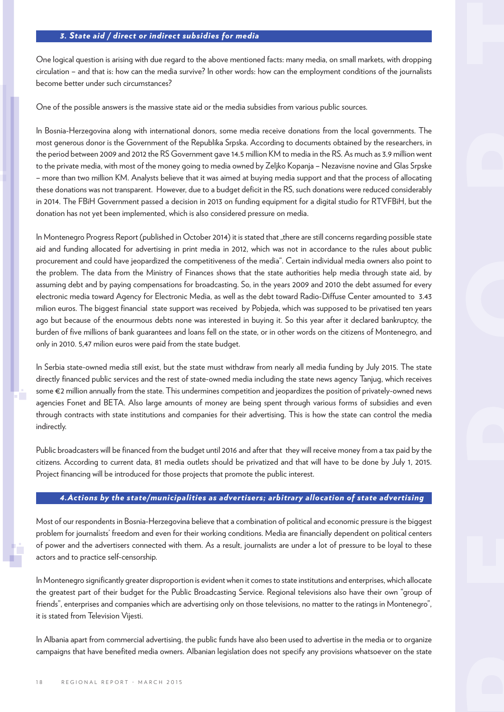One logical question is arising with due regard to the above mentioned facts: many media, on small markets, with dropping circulation – and that is: how can the media survive? In other words: how can the employment conditions of the journalists become better under such circumstances?

One of the possible answers is the massive state aid or the media subsidies from various public sources.

In Bosnia-Herzegovina along with international donors, some media receive donations from the local governments. The most generous donor is the Government of the Republika Srpska. According to documents obtained by the researchers, in the period between 2009 and 2012 the RS Government gave 14.5 million KM to media in the RS. As much as 3.9 million went to the private media, with most of the money going to media owned by Zeljko Kopanja – Nezavisne novine and Glas Srpske – more than two million KM. Analysts believe that it was aimed at buying media support and that the process of allocating these donations was not transparent. However, due to a budget deficit in the RS, such donations were reduced considerably in 2014. The FBiH Government passed a decision in 2013 on funding equipment for a digital studio for RTVFBiH, but the donation has not yet been implemented, which is also considered pressure on media.

In Montenegro Progress Report (published in October 2014) it is stated that "there are still concerns regarding possible state aid and funding allocated for advertising in print media in 2012, which was not in accordance to the rules about public procurement and could have jeopardized the competitiveness of the media". Certain individual media owners also point to the problem. The data from the Ministry of Finances shows that the state authorities help media through state aid, by assuming debt and by paying compensations for broadcasting. So, in the years 2009 and 2010 the debt assumed for every electronic media toward Agency for Electronic Media, as well as the debt toward Radio-Diffuse Center amounted to 3.43 milion euros. The biggest financial state support was received by Pobjeda, which was supposed to be privatised ten years ago but because of the enourmous debts none was interested in buying it. So this year after it declared bankruptcy, the burden of five millions of bank guarantees and loans fell on the state, or in other words on the citizens of Montenegro, and only in 2010. 5,47 milion euros were paid from the state budget.

In Serbia state-owned media still exist, but the state must withdraw from nearly all media funding by July 2015. The state directly financed public services and the rest of state-owned media including the state news agency Tanjug, which receives some €2 million annually from the state. This undermines competition and jeopardizes the position of privately-owned news agencies Fonet and BETA. Also large amounts of money are being spent through various forms of subsidies and even through contracts with state institutions and companies for their advertising. This is how the state can control the media indirectly.

Public broadcasters will be financed from the budget until 2016 and after that they will receive money from a tax paid by the citizens. According to current data, 81 media outlets should be privatized and that will have to be done by July 1, 2015. Project financing will be introduced for those projects that promote the public interest.

#### *4.Actions by the state/municipalities as advertisers; arbitrary allocation of state advertising*

Most of our respondents in Bosnia-Herzegovina believe that a combination of political and economic pressure is the biggest problem for journalists' freedom and even for their working conditions. Media are financially dependent on political centers of power and the advertisers connected with them. As a result, journalists are under a lot of pressure to be loyal to these actors and to practice self-censorship.

In Montenegro significantly greater disproportion is evident when it comes to state institutions and enterprises, which allocate the greatest part of their budget for the Public Broadcasting Service. Regional televisions also have their own "group of friends", enterprises and companies which are advertising only on those televisions, no matter to the ratings in Montenegro", it is stated from Television Vijesti.

In Albania apart from commercial advertising, the public funds have also been used to advertise in the media or to organize campaigns that have benefited media owners. Albanian legislation does not specify any provisions whatsoever on the state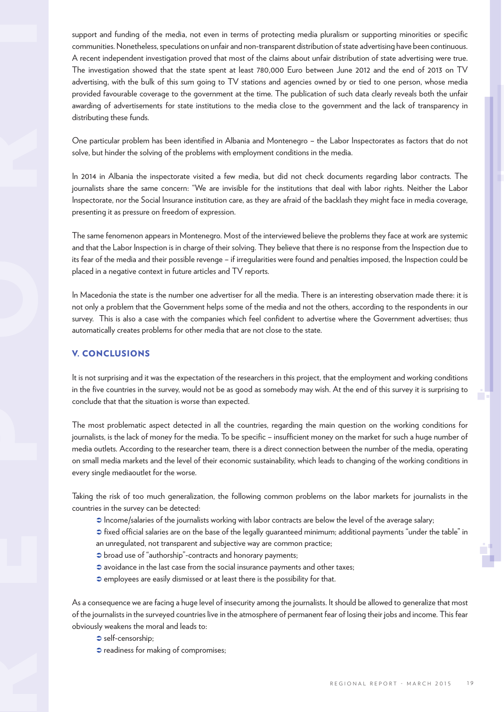support and funding of the media, not even in terms of protecting media pluralism or supporting minorities or specific communities. Nonetheless, speculations on unfair and non-transparent distribution of state advertising have been continuous. A recent independent investigation proved that most of the claims about unfair distribution of state advertising were true. The investigation showed that the state spent at least 780,000 Euro between June 2012 and the end of 2013 on TV advertising, with the bulk of this sum going to TV stations and agencies owned by or tied to one person, whose media provided favourable coverage to the government at the time. The publication of such data clearly reveals both the unfair awarding of advertisements for state institutions to the media close to the government and the lack of transparency in distributing these funds.

One particular problem has been identified in Albania and Montenegro – the Labor Inspectorates as factors that do not solve, but hinder the solving of the problems with employment conditions in the media.

In 2014 in Albania the inspectorate visited a few media, but did not check documents regarding labor contracts. The journalists share the same concern: "We are invisible for the institutions that deal with labor rights. Neither the Labor Inspectorate, nor the Social Insurance institution care, as they are afraid of the backlash they might face in media coverage, presenting it as pressure on freedom of expression.

The same fenomenon appears in Montenegro. Most of the interviewed believe the problems they face at work are systemic and that the Labor Inspection is in charge of their solving. They believe that there is no response from the Inspection due to its fear of the media and their possible revenge – if irregularities were found and penalties imposed, the Inspection could be placed in a negative context in future articles and TV reports.

In Macedonia the state is the number one advertiser for all the media. There is an interesting observation made there: it is not only a problem that the Government helps some of the media and not the others, according to the respondents in our survey. This is also a case with the companies which feel confident to advertise where the Government advertises; thus automatically creates problems for other media that are not close to the state.

#### V. CONCLUSIONS

It is not surprising and it was the expectation of the researchers in this project, that the employment and working conditions in the five countries in the survey, would not be as good as somebody may wish. At the end of this survey it is surprising to conclude that that the situation is worse than expected.

The most problematic aspect detected in all the countries, regarding the main question on the working conditions for journalists, is the lack of money for the media. To be specific – insufficient money on the market for such a huge number of media outlets. According to the researcher team, there is a direct connection between the number of the media, operating on small media markets and the level of their economic sustainability, which leads to changing of the working conditions in every single mediaoutlet for the worse.

Taking the risk of too much generalization, the following common problems on the labor markets for journalists in the countries in the survey can be detected:

- $\supset$  Income/salaries of the journalists working with labor contracts are below the level of the average salary;
- fixed official salaries are on the base of the legally guaranteed minimum; additional payments "under the table" in
- an unregulated, not transparent and subjective way are common practice;
- $\Rightarrow$  broad use of "authorship"-contracts and honorary payments;
- avoidance in the last case from the social insurance payments and other taxes;
- $\supset$  employees are easily dismissed or at least there is the possibility for that.

As a consequence we are facing a huge level of insecurity among the journalists. It should be allowed to generalize that most of the journalists in the surveyed countries live in the atmosphere of permanent fear of losing their jobs and income. This fear obviously weakens the moral and leads to:

- $\supset$  self-censorship;
- $\Rightarrow$  readiness for making of compromises;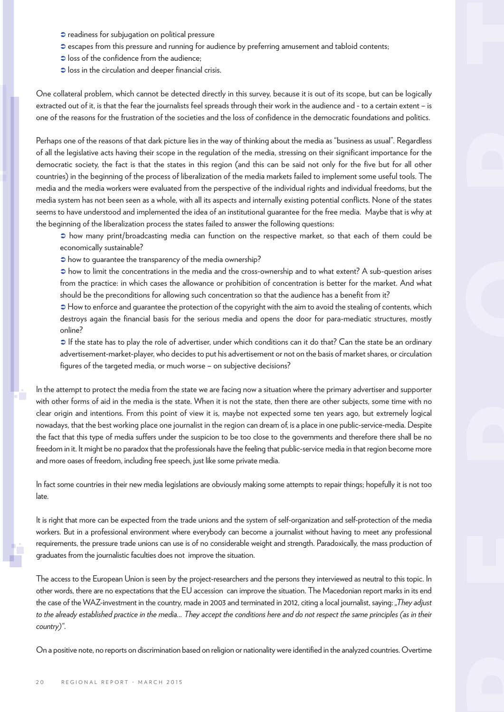- **C** readiness for subjugation on political pressure
- $\supset$  escapes from this pressure and running for audience by preferring amusement and tabloid contents;
- $\supset$  loss of the confidence from the audience;
- $\supset$  loss in the circulation and deeper financial crisis.

One collateral problem, which cannot be detected directly in this survey, because it is out of its scope, but can be logically extracted out of it, is that the fear the journalists feel spreads through their work in the audience and - to a certain extent – is one of the reasons for the frustration of the societies and the loss of confidence in the democratic foundations and politics.

Perhaps one of the reasons of that dark picture lies in the way of thinking about the media as "business as usual". Regardless of all the legislative acts having their scope in the regulation of the media, stressing on their significant importance for the democratic society, the fact is that the states in this region (and this can be said not only for the five but for all other countries) in the beginning of the process of liberalization of the media markets failed to implement some useful tools. The media and the media workers were evaluated from the perspective of the individual rights and individual freedoms, but the media system has not been seen as a whole, with all its aspects and internally existing potential conflicts. None of the states seems to have understood and implemented the idea of an institutional guarantee for the free media. Maybe that is why at the beginning of the liberalization process the states failed to answer the following questions:

 how many print/broadcasting media can function on the respective market, so that each of them could be economically sustainable?

 $\supset$  how to guarantee the transparency of the media ownership?

 how to limit the concentrations in the media and the cross-ownership and to what extent? A sub-question arises from the practice: in which cases the allowance or prohibition of concentration is better for the market. And what should be the preconditions for allowing such concentration so that the audience has a benefit from it?

 How to enforce and guarantee the protection of the copyright with the aim to avoid the stealing of contents, which destroys again the financial basis for the serious media and opens the door for para-mediatic structures, mostly online?

 If the state has to play the role of advertiser, under which conditions can it do that? Can the state be an ordinary advertisement-market-player, who decides to put his advertisement or not on the basis of market shares, or circulation figures of the targeted media, or much worse – on subjective decisions?

In the attempt to protect the media from the state we are facing now a situation where the primary advertiser and supporter with other forms of aid in the media is the state. When it is not the state, then there are other subjects, some time with no clear origin and intentions. From this point of view it is, maybe not expected some ten years ago, but extremely logical nowadays, that the best working place one journalist in the region can dream of, is a place in one public-service-media. Despite the fact that this type of media suffers under the suspicion to be too close to the governments and therefore there shall be no freedom in it. It might be no paradox that the professionals have the feeling that public-service media in that region become more and more oases of freedom, including free speech, just like some private media.

In fact some countries in their new media legislations are obviously making some attempts to repair things; hopefully it is not too late.

It is right that more can be expected from the trade unions and the system of self-organization and self-protection of the media workers. But in a professional environment where everybody can become a journalist without having to meet any professional requirements, the pressure trade unions can use is of no considerable weight and strength. Paradoxically, the mass production of graduates from the journalistic faculties does not improve the situation.

The access to the European Union is seen by the project-researchers and the persons they interviewed as neutral to this topic. In other words, there are no expectations that the EU accession can improve the situation. The Macedonian report marks in its end the case of the WAZ-investment in the country, made in 2003 and terminated in 2012, citing a local journalist, saying: *"They adjust to the already established practice in the media... They accept the conditions here and do not respect the same principles (as in their country)"*.

On a positive note, no reports on discrimination based on religion or nationality were identified in the analyzed countries. Overtime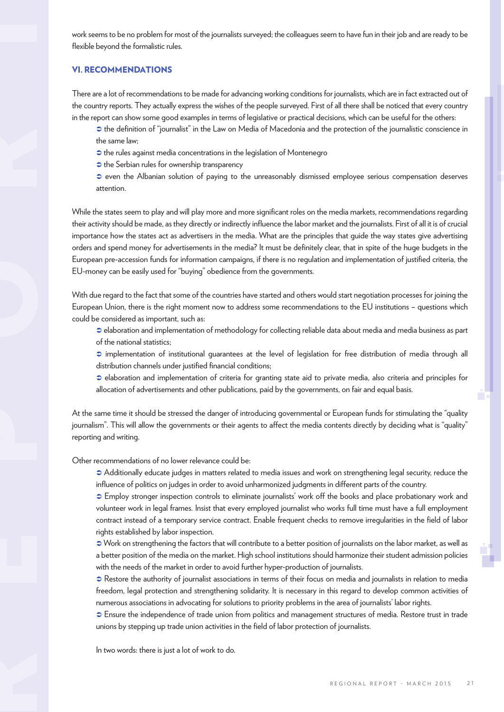work seems to be no problem for most of the journalists surveyed; the colleagues seem to have fun in their job and are ready to be flexible beyond the formalistic rules.

#### VI. RECOMMENDATIONS

There are a lot of recommendations to be made for advancing working conditions for journalists, which are in fact extracted out of the country reports. They actually express the wishes of the people surveyed. First of all there shall be noticed that every country in the report can show some good examples in terms of legislative or practical decisions, which can be useful for the others:

- the definition of "journalist" in the Law on Media of Macedonia and the protection of the journalistic conscience in the same law;
- $\supset$  the rules against media concentrations in the legislation of Montenegro
- $\Rightarrow$  the Serbian rules for ownership transparency
- even the Albanian solution of paying to the unreasonably dismissed employee serious compensation deserves attention.

While the states seem to play and will play more and more significant roles on the media markets, recommendations regarding their activity should be made, as they directly or indirectly influence the labor market and the journalists. First of all it is of crucial importance how the states act as advertisers in the media. What are the principles that guide the way states give advertising orders and spend money for advertisements in the media? It must be definitely clear, that in spite of the huge budgets in the European pre-accession funds for information campaigns, if there is no regulation and implementation of justified criteria, the EU-money can be easily used for "buying" obedience from the governments.

With due regard to the fact that some of the countries have started and others would start negotiation processes for joining the European Union, there is the right moment now to address some recommendations to the EU institutions – questions which could be considered as important, such as:

 elaboration and implementation of methodology for collecting reliable data about media and media business as part of the national statistics;

 implementation of institutional guarantees at the level of legislation for free distribution of media through all distribution channels under justified financial conditions;

 $\circ$  elaboration and implementation of criteria for granting state aid to private media, also criteria and principles for allocation of advertisements and other publications, paid by the governments, on fair and equal basis.

At the same time it should be stressed the danger of introducing governmental or European funds for stimulating the "quality journalism". This will allow the governments or their agents to affect the media contents directly by deciding what is "quality" reporting and writing.

Other recommendations of no lower relevance could be:

 Additionally educate judges in matters related to media issues and work on strengthening legal security, reduce the influence of politics on judges in order to avoid unharmonized judgments in different parts of the country.

 Employ stronger inspection controls to eliminate journalists' work off the books and place probationary work and volunteer work in legal frames. Insist that every employed journalist who works full time must have a full employment contract instead of a temporary service contract. Enable frequent checks to remove irregularities in the field of labor rights established by labor inspection.

 Work on strengthening the factors that will contribute to a better position of journalists on the labor market, as well as a better position of the media on the market. High school institutions should harmonize their student admission policies with the needs of the market in order to avoid further hyper-production of journalists.

 Restore the authority of journalist associations in terms of their focus on media and journalists in relation to media freedom, legal protection and strengthening solidarity. It is necessary in this regard to develop common activities of numerous associations in advocating for solutions to priority problems in the area of journalists' labor rights.

 Ensure the independence of trade union from politics and management structures of media. Restore trust in trade unions by stepping up trade union activities in the field of labor protection of journalists.

In two words: there is just a lot of work to do.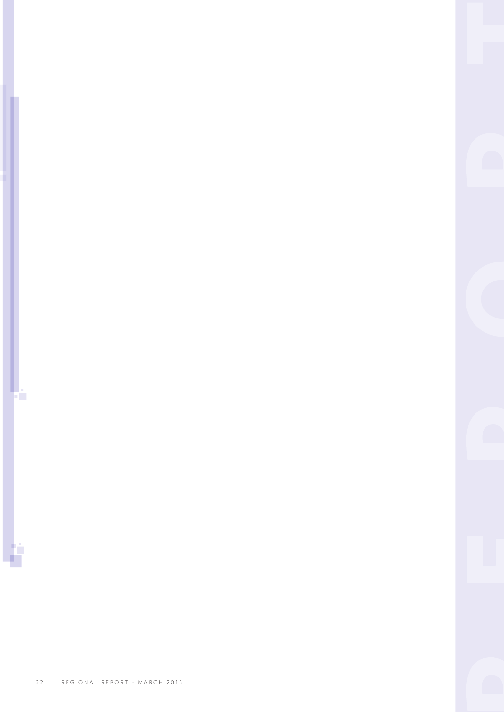

m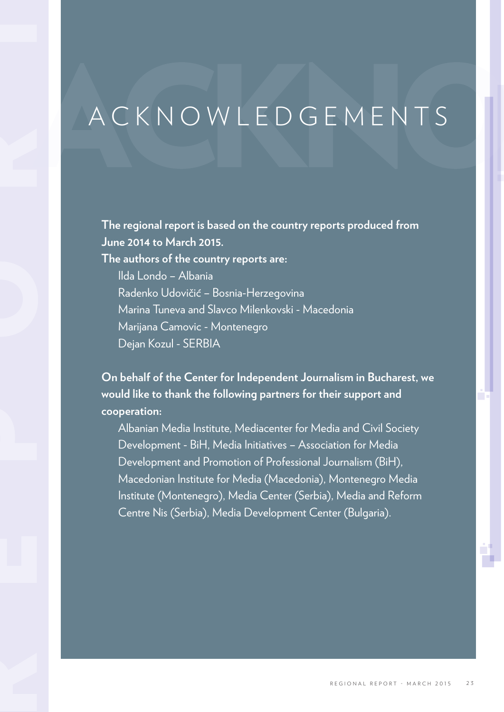# A C K N O W L E D G E M E N T S

**The regional report is based on the country reports produced from June 2014 to March 2015.**

**The authors of the country reports are:** Ilda Londo – Albania Radenko Udovičić – Bosnia-Herzegovina Marina Tuneva and Slavco Milenkovski - Macedonia Marijana Camovic - Montenegro Dejan Kozul - SERBIA

**On behalf of the Center for Independent Journalism in Bucharest, we would like to thank the following partners for their support and cooperation:**

Albanian Media Institute, Mediacenter for Media and Civil Society Development - BiH, Media Initiatives – Association for Media Development and Promotion of Professional Journalism (BiH), Macedonian Institute for Media (Macedonia), Montenegro Media Institute (Montenegro), Media Center (Serbia), Media and Reform Centre Nis (Serbia), Media Development Center (Bulgaria).